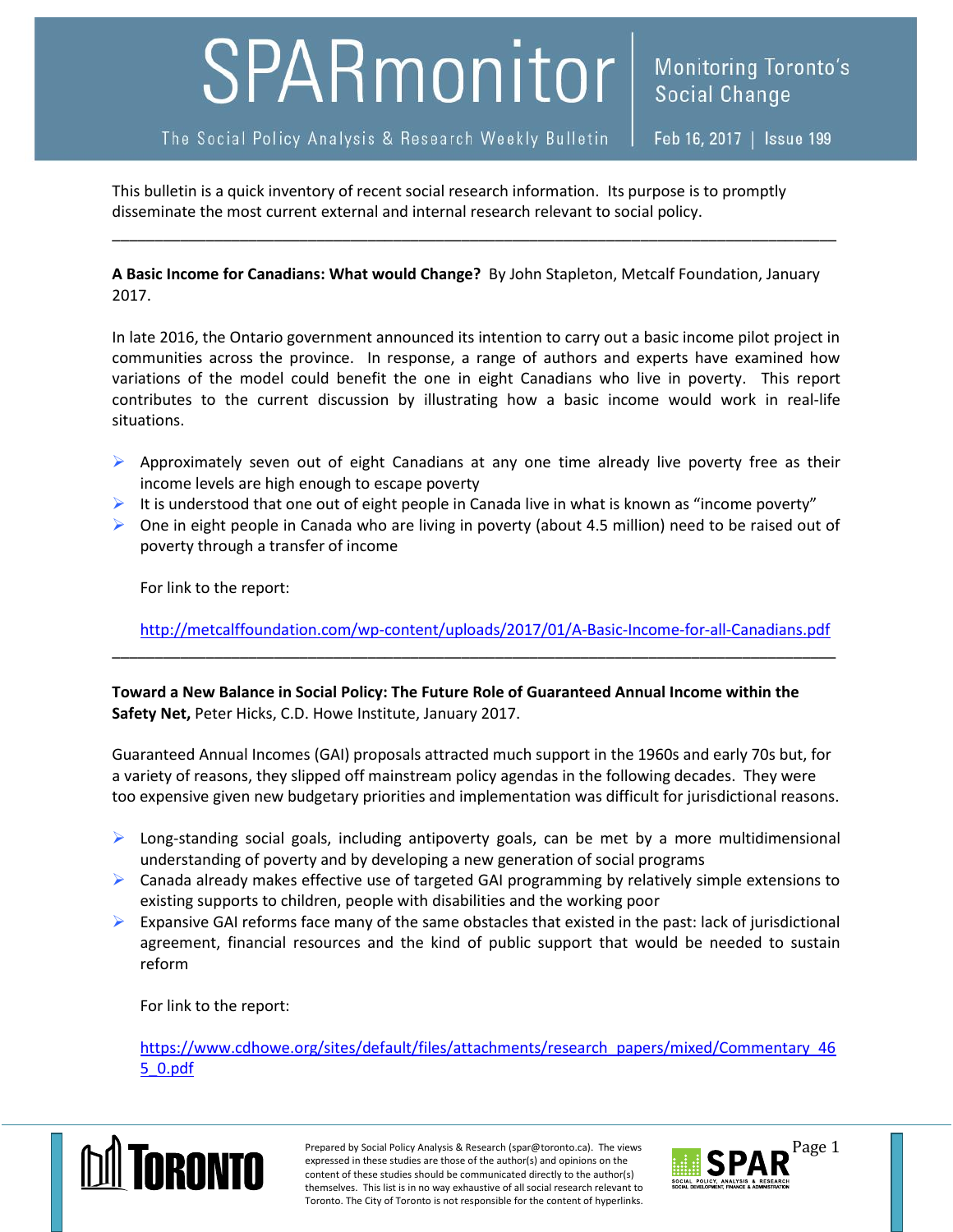## SPARmonitor<sup>|</sup>

The Social Policy Analysis & Research Weekly Bulletin

Feb 16, 2017 | Issue 199

This bulletin is a quick inventory of recent social research information. Its purpose is to promptly disseminate the most current external and internal research relevant to social policy.

**A Basic Income for Canadians: What would Change?** By John Stapleton, Metcalf Foundation, January 2017.

\_\_\_\_\_\_\_\_\_\_\_\_\_\_\_\_\_\_\_\_\_\_\_\_\_\_\_\_\_\_\_\_\_\_\_\_\_\_\_\_\_\_\_\_\_\_\_\_\_\_\_\_\_\_\_\_\_\_\_\_\_\_\_\_\_\_\_\_\_\_\_\_\_\_\_\_\_\_\_\_\_\_\_\_\_

In late 2016, the Ontario government announced its intention to carry out a basic income pilot project in communities across the province. In response, a range of authors and experts have examined how variations of the model could benefit the one in eight Canadians who live in poverty. This report contributes to the current discussion by illustrating how a basic income would work in real-life situations.

- $\triangleright$  Approximately seven out of eight Canadians at any one time already live poverty free as their income levels are high enough to escape poverty
- It is understood that one out of eight people in Canada live in what is known as "income poverty"
- $\triangleright$  One in eight people in Canada who are living in poverty (about 4.5 million) need to be raised out of poverty through a transfer of income

For link to the report:

<http://metcalffoundation.com/wp-content/uploads/2017/01/A-Basic-Income-for-all-Canadians.pdf>

\_\_\_\_\_\_\_\_\_\_\_\_\_\_\_\_\_\_\_\_\_\_\_\_\_\_\_\_\_\_\_\_\_\_\_\_\_\_\_\_\_\_\_\_\_\_\_\_\_\_\_\_\_\_\_\_\_\_\_\_\_\_\_\_\_\_\_\_\_\_\_\_\_\_\_\_\_\_\_\_\_\_\_\_\_

**Toward a New Balance in Social Policy: The Future Role of Guaranteed Annual Income within the Safety Net,** Peter Hicks, C.D. Howe Institute, January 2017.

Guaranteed Annual Incomes (GAI) proposals attracted much support in the 1960s and early 70s but, for a variety of reasons, they slipped off mainstream policy agendas in the following decades. They were too expensive given new budgetary priorities and implementation was difficult for jurisdictional reasons.

- $\triangleright$  Long-standing social goals, including antipoverty goals, can be met by a more multidimensional understanding of poverty and by developing a new generation of social programs
- $\triangleright$  Canada already makes effective use of targeted GAI programming by relatively simple extensions to existing supports to children, people with disabilities and the working poor
- Expansive GAI reforms face many of the same obstacles that existed in the past: lack of jurisdictional agreement, financial resources and the kind of public support that would be needed to sustain reform

For link to the report:

[https://www.cdhowe.org/sites/default/files/attachments/research\\_papers/mixed/Commentary\\_46](https://www.cdhowe.org/sites/default/files/attachments/research_papers/mixed/Commentary_465_0.pdf) [5\\_0.pdf](https://www.cdhowe.org/sites/default/files/attachments/research_papers/mixed/Commentary_465_0.pdf)



Prepared by Social Policy Analysis & Research (spar@toronto.ca). The views Page 1 expressed in these studies are those of the author(s) and opinions on the content of these studies should be communicated directly to the author(s) themselves. This list is in no way exhaustive of all social research relevant to Toronto. The City of Toronto is not responsible for the content of hyperlinks.

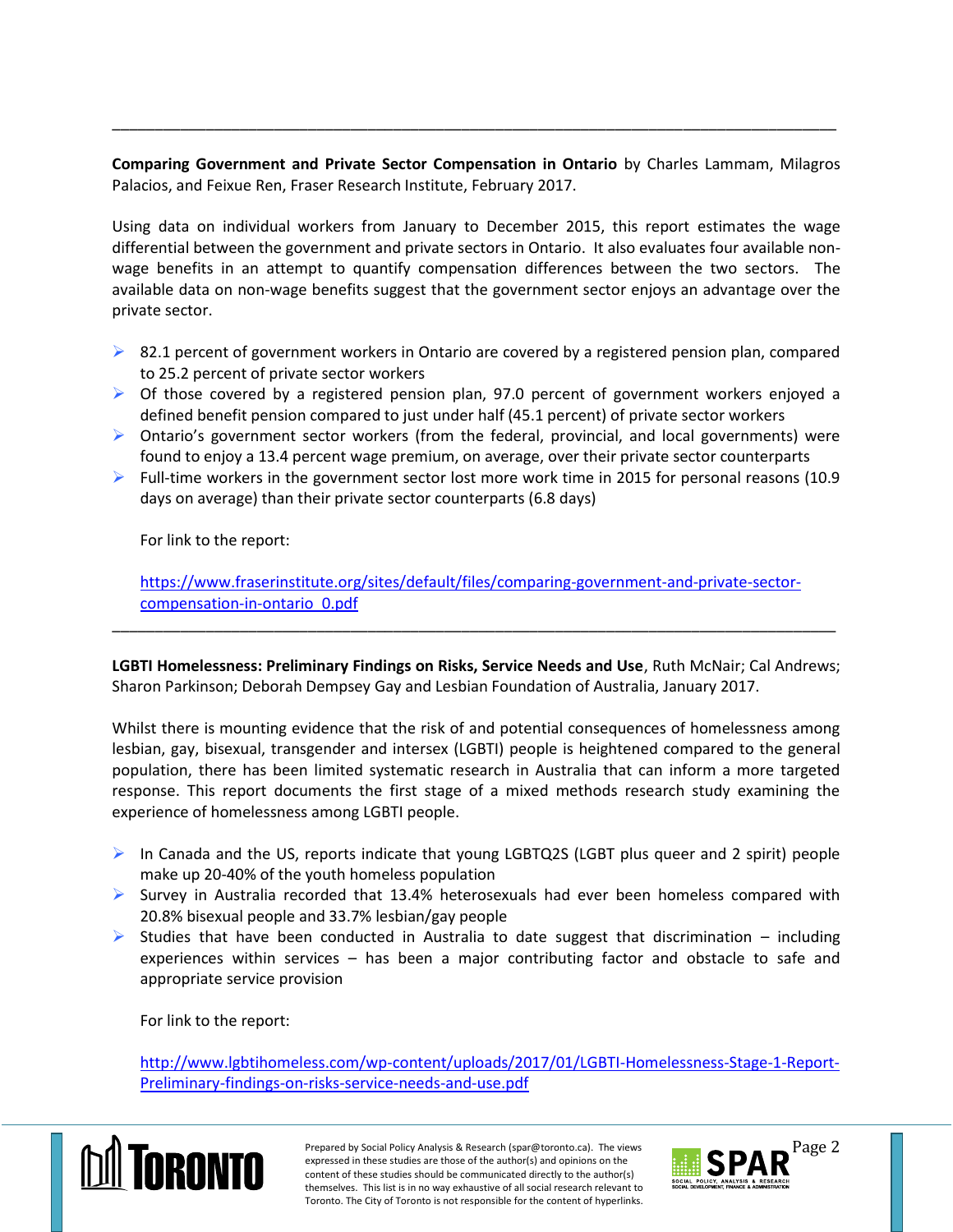**Comparing Government and Private Sector Compensation in Ontario** by Charles Lammam, Milagros Palacios, and Feixue Ren, Fraser Research Institute, February 2017.

\_\_\_\_\_\_\_\_\_\_\_\_\_\_\_\_\_\_\_\_\_\_\_\_\_\_\_\_\_\_\_\_\_\_\_\_\_\_\_\_\_\_\_\_\_\_\_\_\_\_\_\_\_\_\_\_\_\_\_\_\_\_\_\_\_\_\_\_\_\_\_\_\_\_\_\_\_\_\_\_\_\_\_\_\_

Using data on individual workers from January to December 2015, this report estimates the wage differential between the government and private sectors in Ontario. It also evaluates four available nonwage benefits in an attempt to quantify compensation differences between the two sectors. The available data on non-wage benefits suggest that the government sector enjoys an advantage over the private sector.

- $\triangleright$  82.1 percent of government workers in Ontario are covered by a registered pension plan, compared to 25.2 percent of private sector workers
- $\triangleright$  Of those covered by a registered pension plan, 97.0 percent of government workers enjoyed a defined benefit pension compared to just under half (45.1 percent) of private sector workers
- Ontario's government sector workers (from the federal, provincial, and local governments) were found to enjoy a 13.4 percent wage premium, on average, over their private sector counterparts
- $\triangleright$  Full-time workers in the government sector lost more work time in 2015 for personal reasons (10.9) days on average) than their private sector counterparts (6.8 days)

For link to the report:

[https://www.fraserinstitute.org/sites/default/files/comparing-government-and-private-sector](https://www.fraserinstitute.org/sites/default/files/comparing-government-and-private-sector-compensation-in-ontario_0.pdf)[compensation-in-ontario\\_0.pdf](https://www.fraserinstitute.org/sites/default/files/comparing-government-and-private-sector-compensation-in-ontario_0.pdf)

\_\_\_\_\_\_\_\_\_\_\_\_\_\_\_\_\_\_\_\_\_\_\_\_\_\_\_\_\_\_\_\_\_\_\_\_\_\_\_\_\_\_\_\_\_\_\_\_\_\_\_\_\_\_\_\_\_\_\_\_\_\_\_\_\_\_\_\_\_\_\_\_\_\_\_\_\_\_\_\_\_\_\_\_\_

**LGBTI Homelessness: Preliminary Findings on Risks, Service Needs and Use**, Ruth McNair; Cal Andrews; Sharon Parkinson; Deborah Dempsey Gay and Lesbian Foundation of Australia, January 2017.

Whilst there is mounting evidence that the risk of and potential consequences of homelessness among lesbian, gay, bisexual, transgender and intersex (LGBTI) people is heightened compared to the general population, there has been limited systematic research in Australia that can inform a more targeted response. This report documents the first stage of a mixed methods research study examining the experience of homelessness among LGBTI people.

- In Canada and the US, reports indicate that young LGBTQ2S (LGBT plus queer and 2 spirit) people make up 20-40% of the youth homeless population
- $\triangleright$  Survey in Australia recorded that 13.4% heterosexuals had ever been homeless compared with 20.8% bisexual people and 33.7% lesbian/gay people
- Studies that have been conducted in Australia to date suggest that discrimination including experiences within services – has been a major contributing factor and obstacle to safe and appropriate service provision

For link to the report:

[http://www.lgbtihomeless.com/wp-content/uploads/2017/01/LGBTI-Homelessness-Stage-1-Report-](http://www.lgbtihomeless.com/wp-content/uploads/2017/01/LGBTI-Homelessness-Stage-1-Report-Preliminary-findings-on-risks-service-needs-and-use.pdf)[Preliminary-findings-on-risks-service-needs-and-use.pdf](http://www.lgbtihomeless.com/wp-content/uploads/2017/01/LGBTI-Homelessness-Stage-1-Report-Preliminary-findings-on-risks-service-needs-and-use.pdf)



Prepared by Social Policy Analysis & Research (spar@toronto.ca). The views Page 2 expressed in these studies are those of the author(s) and opinions on the content of these studies should be communicated directly to the author(s) themselves. This list is in no way exhaustive of all social research relevant to Toronto. The City of Toronto is not responsible for the content of hyperlinks.